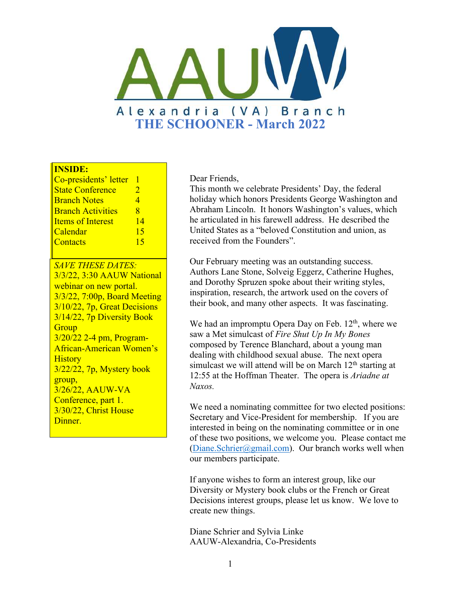

#### **INSIDE:**

| Co-presidents' letter    |                       |
|--------------------------|-----------------------|
| <b>State Conference</b>  | $\mathcal{D}_{\cdot}$ |
| <b>Branch Notes</b>      | 4                     |
| <b>Branch Activities</b> | я                     |
| <b>Items of Interest</b> | 14                    |
| Calendar                 | 15                    |
| Contacts                 | 15                    |

*SAVE THESE DATES:* 3/3/22, 3:30 AAUW National webinar on new portal. 3/3/22, 7:00p, Board Meeting 3/10/22, 7p, Great Decisions 3/14/22, 7p Diversity Book **Group** 3/20/22 2-4 pm, Program-African-American Women's **History** 3/22/22, 7p, Mystery book group, 3/26/22, AAUW-VA Conference, part 1. 3/30/22, Christ House Dinner.

Dear Friends,

This month we celebrate Presidents' Day, the federal holiday which honors Presidents George Washington and Abraham Lincoln. It honors Washington's values, which he articulated in his farewell address. He described the United States as a "beloved Constitution and union, as received from the Founders".

Our February meeting was an outstanding success. Authors Lane Stone, Solveig Eggerz, Catherine Hughes, and Dorothy Spruzen spoke about their writing styles, inspiration, research, the artwork used on the covers of their book, and many other aspects. It was fascinating.

We had an impromptu Opera Day on Feb.  $12<sup>th</sup>$ , where we saw a Met simulcast of *Fire Shut Up In My Bones* composed by Terence Blanchard, about a young man dealing with childhood sexual abuse. The next opera simulcast we will attend will be on March  $12<sup>th</sup>$  starting at 12:55 at the Hoffman Theater. The opera is *Ariadne at Naxos.*

We need a nominating committee for two elected positions: Secretary and Vice-President for membership. If you are interested in being on the nominating committee or in one of these two positions, we welcome you. Please contact me [\(Diane.Schrier@gmail.com](mailto:Diane.Schrier@gmail.com)). Our branch works well when our members participate.

If anyone wishes to form an interest group, like our Diversity or Mystery book clubs or the French or Great Decisions interest groups, please let us know. We love to create new things.

Diane Schrier and Sylvia Linke AAUW-Alexandria, Co-Presidents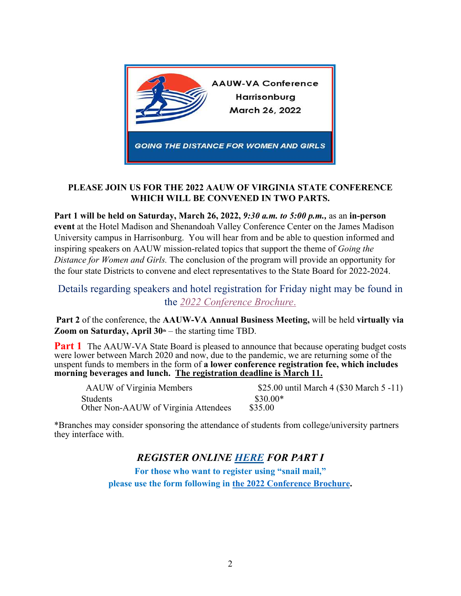

#### **PLEASE JOIN US FOR THE 2022 AAUW OF VIRGINIA STATE CONFERENCE WHICH WILL BE CONVENED IN TWO PARTS.**

**Part 1 will be held on Saturday, March 26, 2022,** *9:30 a.m. to 5:00 p.m.,* as an **in-person event** at the Hotel Madison and Shenandoah Valley Conference Center on the James Madison University campus in Harrisonburg. You will hear from and be able to question informed and inspiring speakers on AAUW mission-related topics that support the theme of *Going the Distance for Women and Girls.* The conclusion of the program will provide an opportunity for the four state Districts to convene and elect representatives to the State Board for 2022-2024.

Details regarding speakers and hotel registration for Friday night may be found in the *[2022 Conference Brochure](https://aauw-va.aauw.net/files/2022/02/Brochure-AAUW-VA-Conference-2022_with-registration-FINAL5.pdf)*.

**Part 2** of the conference, the **AAUW-VA Annual Business Meeting,** will be held **virtually via Zoom on Saturday, April 30<sup>th</sup>** – the starting time TBD.

**Part 1** The AAUW-VA State Board is pleased to announce that because operating budget costs were lower between March 2020 and now, due to the pandemic, we are returning some of the unspent funds to members in the form of **a lower conference registration fee, which includes morning beverages and lunch. The registration deadline is March 11.**

| AAUW of Virginia Members             | \$25.00 until March 4 (\$30 March 5 -11) |
|--------------------------------------|------------------------------------------|
| <b>Students</b>                      | $$30.00*$                                |
| Other Non-AAUW of Virginia Attendees | \$35.00                                  |

\*Branches may consider sponsoring the attendance of students from college/university partners they interface with.

### *REGISTER ONLINE [HERE](https://aauw-va.aauw.net/2022-conference-registration-form/) FOR PART I*

**For those who want to register using "snail mail," please use the form following in the [2022 Conference Brochure](https://aauw-va.aauw.net/files/2022/02/Brochure-AAUW-VA-Conference-2022_with-registration-FINAL5.pdf).**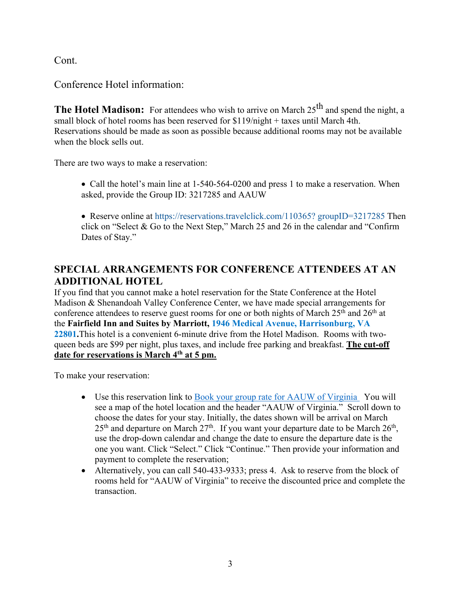Cont.

Conference Hotel information:

**The Hotel Madison:** For attendees who wish to arrive on March 25<sup>th</sup> and spend the night, a small block of hotel rooms has been reserved for \$119/night + taxes until March 4th. Reservations should be made as soon as possible because additional rooms may not be available when the block sells out.

There are two ways to make a reservation:

- Call the hotel's main line at 1-540-564-0200 and press 1 to make a reservation. When asked, provide the Group ID: 3217285 and AAUW
- Reserve online at https://reservations.travelclick.com/110365? groupID=3217285 Then click on "Select & Go to the Next Step," March 25 and 26 in the calendar and "Confirm Dates of Stay."

## **SPECIAL ARRANGEMENTS FOR CONFERENCE ATTENDEES AT AN ADDITIONAL HOTEL**

If you find that you cannot make a hotel reservation for the State Conference at the Hotel Madison & Shenandoah Valley Conference Center, we have made special arrangements for conference attendees to reserve guest rooms for one or both nights of March 25<sup>th</sup> and 26<sup>th</sup> at the **Fairfield Inn and Suites by Marriott, 1946 Medical Avenue, Harrisonburg, VA 22801.**This hotel is a convenient 6-minute drive from the Hotel Madison. Rooms with twoqueen beds are \$99 per night, plus taxes, and include free parking and breakfast. **The cut-off date for reservations is March 4th at 5 pm.**

To make your reservation:

- Use this reservation link to [Book your group rate for AAUW of Virginia](https://www.marriott.com/events/start.mi?id=1645218876819&key=GRP) You will see a map of the hotel location and the header "AAUW of Virginia." Scroll down to choose the dates for your stay. Initially, the dates shown will be arrival on March  $25<sup>th</sup>$  and departure on March  $27<sup>th</sup>$ . If you want your departure date to be March  $26<sup>th</sup>$ , use the drop-down calendar and change the date to ensure the departure date is the one you want. Click "Select." Click "Continue." Then provide your information and payment to complete the reservation;
- Alternatively, you can call 540-433-9333; press 4. Ask to reserve from the block of rooms held for "AAUW of Virginia" to receive the discounted price and complete the transaction.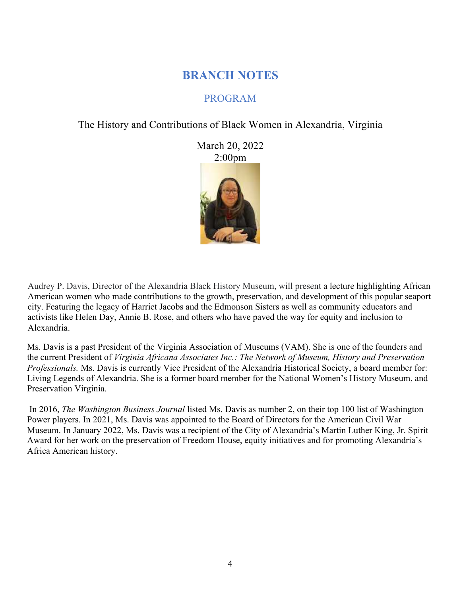## **BRANCH NOTES**

## PROGRAM

The History and Contributions of Black Women in Alexandria, Virginia

March 20, 2022 2:00pm

Audrey P. Davis, Director of the Alexandria Black History Museum, will present a lecture highlighting African American women who made contributions to the growth, preservation, and development of this popular seaport city. Featuring the legacy of Harriet Jacobs and the Edmonson Sisters as well as community educators and activists like Helen Day, Annie B. Rose, and others who have paved the way for equity and inclusion to Alexandria.

Ms. Davis is a past President of the Virginia Association of Museums (VAM). She is one of the founders and the current President of *Virginia Africana Associates Inc.: The Network of Museum, History and Preservation Professionals.* Ms. Davis is currently Vice President of the Alexandria Historical Society, a board member for: Living Legends of Alexandria. She is a former board member for the National Women's History Museum, and Preservation Virginia.

In 2016, *The Washington Business Journal* listed Ms. Davis as number 2, on their top 100 list of Washington Power players. In 2021, Ms. Davis was appointed to the Board of Directors for the American Civil War Museum. In January 2022, Ms. Davis was a recipient of the City of Alexandria's Martin Luther King, Jr. Spirit Award for her work on the preservation of Freedom House, equity initiatives and for promoting Alexandria's Africa American history.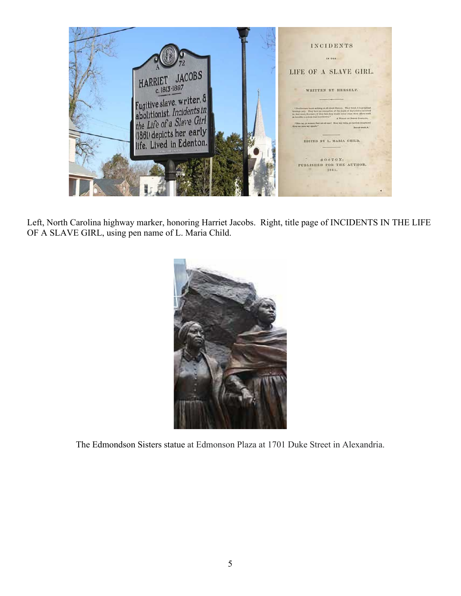

Left, North Carolina highway marker, honoring Harriet Jacobs. Right, title page of INCIDENTS IN THE LIFE OF A SLAVE GIRL, using pen name of L. Maria Child.



The Edmondson Sisters statue at Edmonson Plaza at 1701 Duke Street in Alexandria.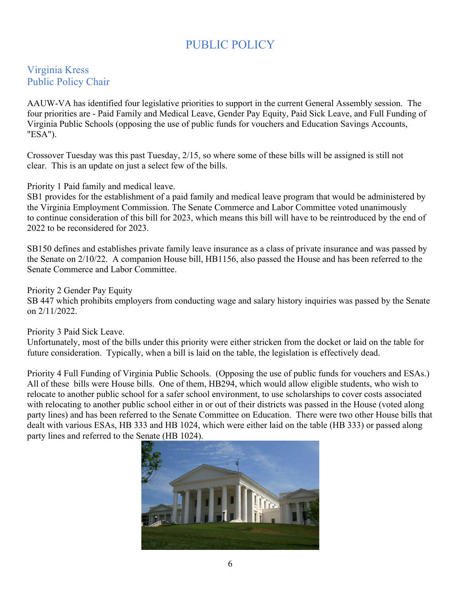# PUBLIC POLICY

### Virginia Kress Public Policy Chair

AAUW-VA has identified four legislative priorities to support in the current General Assembly session. The four priorities are - Paid Family and Medical Leave, Gender Pay Equity, Paid Sick Leave, and Full Funding of Virginia Public Schools (opposing the use of public funds for vouchers and Education Savings Accounts, "ESA").

Crossover Tuesday was this past Tuesday, 2/15, so where some of these bills will be assigned is still not clear. This is an update on just a select few of the bills.

Priority 1 Paid family and medical leave.

SB1 provides for the establishment of a paid family and medical leave program that would be administered by the Virginia Employment Commission. The Senate Commerce and Labor Committee voted unanimously to continue consideration of this bill for 2023, which means this bill will have to be reintroduced by the end of 2022 to be reconsidered for 2023.

SB150 defines and establishes private family leave insurance as a class of private insurance and was passed by the Senate on 2/10/22. A companion House bill, HB1156, also passed the House and has been referred to the Senate Commerce and Labor Committee.

Priority 2 Gender Pay Equity

SB 447 which prohibits employers from conducting wage and salary history inquiries was passed by the Senate on 2/11/2022.

Priority 3 Paid Sick Leave.

Unfortunately, most of the bills under this priority were either stricken from the docket or laid on the table for future consideration. Typically, when a bill is laid on the table, the legislation is effectively dead.

Priority 4 Full Funding of Virginia Public Schools. (Opposing the use of public funds for vouchers and ESAs.) All of these bills were House bills. One of them, HB294, which would allow eligible students, who wish to relocate to another public school for a safer school environment, to use scholarships to cover costs associated with relocating to another public school either in or out of their districts was passed in the House (voted along party lines) and has been referred to the Senate Committee on Education. There were two other House bills that dealt with various ESAs, HB 333 and HB 1024, which were either laid on the table (HB 333) or passed along party lines and referred to the Senate (HB 1024).

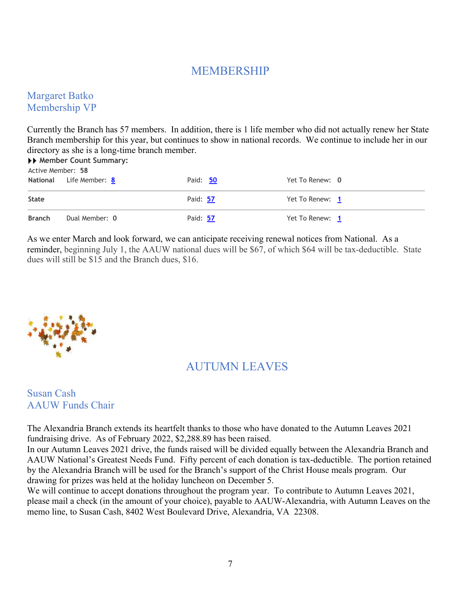## MEMBERSHIP

### Margaret Batko Membership VP

Currently the Branch has 57 members. In addition, there is 1 life member who did not actually renew her State Branch membership for this year, but continues to show in national records. We continue to include her in our directory as she is a long-time branch member.

| ▶▶ Member Count Summary:<br>Active Member: 58 |                         |          |                 |  |  |
|-----------------------------------------------|-------------------------|----------|-----------------|--|--|
|                                               | National Life Member: 8 | Paid: 50 | Yet To Renew: 0 |  |  |
| <b>State</b>                                  |                         | Paid: 57 | Yet To Renew: 1 |  |  |
| <b>Branch</b>                                 | Dual Member: 0          | Paid: 57 | Yet To Renew: 1 |  |  |

As we enter March and look forward, we can anticipate receiving renewal notices from National. As a reminder, beginning July 1, the AAUW national dues will be \$67, of which \$64 will be tax-deductible. State dues will still be \$15 and the Branch dues, \$16.



## AUTUMN LEAVES

### Susan Cash AAUW Funds Chair

The Alexandria Branch extends its heartfelt thanks to those who have donated to the Autumn Leaves 2021 fundraising drive. As of February 2022, \$2,288.89 has been raised.

In our Autumn Leaves 2021 drive, the funds raised will be divided equally between the Alexandria Branch and AAUW National's Greatest Needs Fund. Fifty percent of each donation is tax-deductible. The portion retained by the Alexandria Branch will be used for the Branch's support of the Christ House meals program. Our drawing for prizes was held at the holiday luncheon on December 5.

We will continue to accept donations throughout the program year. To contribute to Autumn Leaves 2021, please mail a check (in the amount of your choice), payable to AAUW-Alexandria, with Autumn Leaves on the memo line, to Susan Cash, 8402 West Boulevard Drive, Alexandria, VA 22308.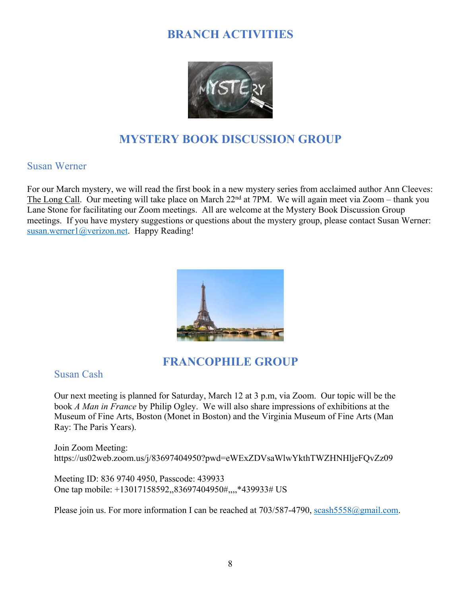# **BRANCH ACTIVITIES**



# **MYSTERY BOOK DISCUSSION GROUP**

#### Susan Werner

For our March mystery, we will read the first book in a new mystery series from acclaimed author Ann Cleeves: The Long Call. Our meeting will take place on March  $22<sup>nd</sup>$  at 7PM. We will again meet via Zoom – thank you Lane Stone for facilitating our Zoom meetings. All are welcome at the Mystery Book Discussion Group meetings. If you have mystery suggestions or questions about the mystery group, please contact Susan Werner: [susan.werner1@verizon.net](mailto:susan.werner1@verizon.net). Happy Reading!



### **FRANCOPHILE GROUP**

Susan Cash

Our next meeting is planned for Saturday, March 12 at 3 p.m, via Zoom. Our topic will be the book *A Man in France* by Philip Ogley. We will also share impressions of exhibitions at the Museum of Fine Arts, Boston (Monet in Boston) and the Virginia Museum of Fine Arts (Man Ray: The Paris Years).

Join Zoom Meeting: https://us02web.zoom.us/j/83697404950?pwd=eWExZDVsaWlwYkthTWZHNHljeFQvZz09

Meeting ID: 836 9740 4950, Passcode: 439933 One tap mobile: +13017158592,,83697404950#,,,,\*439933# US

Please join us. For more information I can be reached at  $703/587-4790$ , scash $5558@g$  mail.com.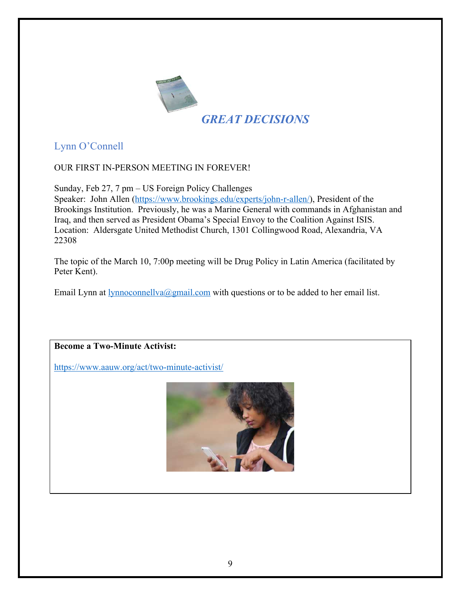

Lynn O'Connell

OUR FIRST IN-PERSON MEETING IN FOREVER!

Sunday, Feb 27, 7 pm – US Foreign Policy Challenges

Speaker: John Allen [\(https://www.brookings.edu/experts/john-r-allen/](https://www.brookings.edu/experts/john-r-allen/)), President of the Brookings Institution. Previously, he was a Marine General with commands in Afghanistan and Iraq, and then served as President Obama's Special Envoy to the Coalition Against ISIS. Location: Aldersgate United Methodist Church, 1301 Collingwood Road, Alexandria, VA 22308

The topic of the March 10, 7:00p meeting will be Drug Policy in Latin America (facilitated by Peter Kent).

Email Lynn at  $lynnocomellva@gmail.com$  with questions or to be added to her email list.

**Become a Two-Minute Activist:**

<https://www.aauw.org/act/two-minute-activist/>

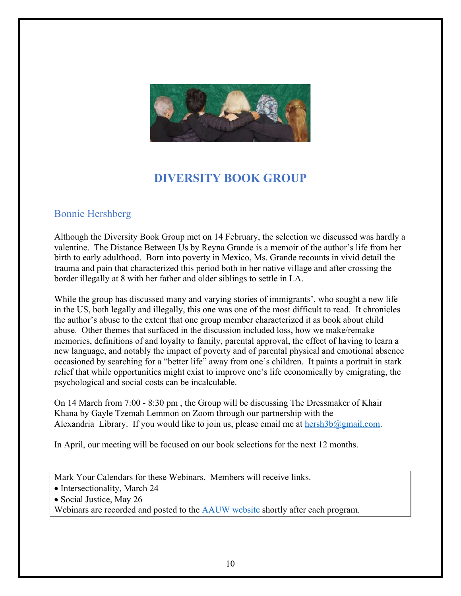

# **DIVERSITY BOOK GROUP**

### Bonnie Hershberg

Although the Diversity Book Group met on 14 February, the selection we discussed was hardly a valentine. The Distance Between Us by Reyna Grande is a memoir of the author's life from her birth to early adulthood. Born into poverty in Mexico, Ms. Grande recounts in vivid detail the trauma and pain that characterized this period both in her native village and after crossing the border illegally at 8 with her father and older siblings to settle in LA.

While the group has discussed many and varying stories of immigrants', who sought a new life in the US, both legally and illegally, this one was one of the most difficult to read. It chronicles the author's abuse to the extent that one group member characterized it as book about child abuse. Other themes that surfaced in the discussion included loss, how we make/remake memories, definitions of and loyalty to family, parental approval, the effect of having to learn a new language, and notably the impact of poverty and of parental physical and emotional absence occasioned by searching for a "better life" away from one's children. It paints a portrait in stark relief that while opportunities might exist to improve one's life economically by emigrating, the psychological and social costs can be incalculable.

On 14 March from 7:00 - 8:30 pm , the Group will be discussing The Dressmaker of Khair Khana by Gayle Tzemah Lemmon on Zoom through our partnership with the Alexandria Library. If you would like to join us, please email me at  $hersh3b@gmail.com$ .

In April, our meeting will be focused on our book selections for the next 12 months.

Mark Your Calendars for these Webinars. Members will receive links.

- Intersectionality, March 24
- Social Justice, May 26

Webinars are recorded and posted to the [AAUW website](https://www.aauw.org/resources/programs/webinars/) shortly after each program.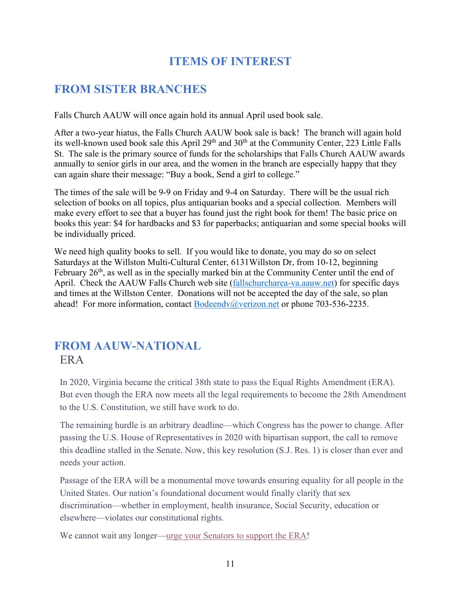# **ITEMS OF INTEREST**

# **FROM SISTER BRANCHES**

Falls Church AAUW will once again hold its annual April used book sale.

After a two-year hiatus, the Falls Church AAUW book sale is back! The branch will again hold its well-known used book sale this April 29<sup>th</sup> and 30<sup>th</sup> at the Community Center, 223 Little Falls St. The sale is the primary source of funds for the scholarships that Falls Church AAUW awards annually to senior girls in our area, and the women in the branch are especially happy that they can again share their message: "Buy a book, Send a girl to college."

The times of the sale will be 9-9 on Friday and 9-4 on Saturday. There will be the usual rich selection of books on all topics, plus antiquarian books and a special collection. Members will make every effort to see that a buyer has found just the right book for them! The basic price on books this year: \$4 for hardbacks and \$3 for paperbacks; antiquarian and some special books will be individually priced.

We need high quality books to sell. If you would like to donate, you may do so on select Saturdays at the Willston Multi-Cultural Center, 6131Willston Dr, from 10-12, beginning February  $26<sup>th</sup>$ , as well as in the specially marked bin at the Community Center until the end of April. Check the AAUW Falls Church web site [\(fallschurcharea-va.aauw.net](http://fallschurcharea-va.aauw.net/)) for specific days and times at the Willston Center. Donations will not be accepted the day of the sale, so plan ahead! For more information, contact [Bodeendv@verizon.net](mailto:Bodeendv@verizon.net) or phone 703-536-2235.

# **FROM AAUW-NATIONAL** ERA

In 2020, Virginia became the critical 38th state to pass the Equal Rights Amendment (ERA). But even though the ERA now meets all the legal requirements to become the 28th Amendment to the U.S. Constitution, we still have work to do.

The remaining hurdle is an arbitrary deadline—which Congress has the power to change. After passing the U.S. House of Representatives in 2020 with bipartisan support, the call to remove this deadline stalled in the Senate. Now, this key resolution (S.J. Res. 1) is closer than ever and needs your action.

Passage of the ERA will be a monumental move towards ensuring equality for all people in the United States. Our nation's foundational document would finally clarify that sex discrimination—whether in employment, health insurance, Social Security, education or elsewhere—violates our constitutional rights.

We cannot wait any longer[—urge your Senators to support the ERA](https://click.everyaction.com/k/41389023/328587431/460630154?nvep=ew0KICAiVGVuYW50VXJpIjogIm5ncHZhbjovL3Zhbi9FQS9FQTAwNS8xLzc2OTU1IiwNCiAgIkRpc3RyaWJ1dGlvblVuaXF1ZUlkIjogImZjMTk4ZGVlLTBhODUtZWMxMS05NGY2LTI4MTg3OGI4NTExMCIsDQogICJFbWFpbEFkZHJlc3MiOiAiTGFuZUxhcnJ5RENAY29tY2FzdC5uZXQiDQp9&hmac=DRMjmJqWfAfggegMmny8Goz6glGqtrCjDKP1w5cnnvE=&emci=8fb9ea8c-fe84-ec11-94f6-281878b85110&emdi=fc198dee-0a85-ec11-94f6-281878b85110&ceid=931465)!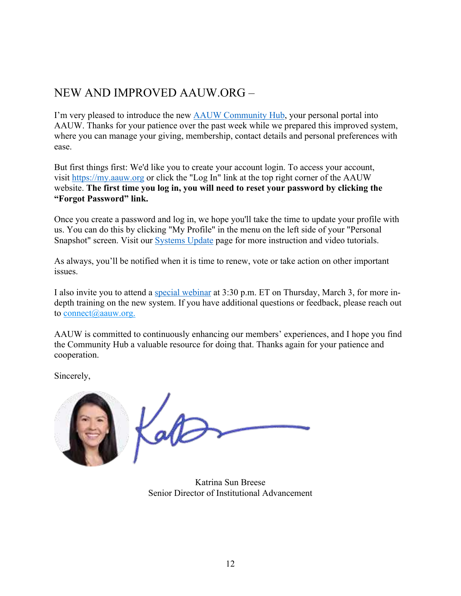# NEW AND IMPROVED AAUW.ORG –

I'm very pleased to introduce the new **AAUW** Community Hub, your personal portal into AAUW. Thanks for your patience over the past week while we prepared this improved system, where you can manage your giving, membership, contact details and personal preferences with ease.

But first things first: We'd like you to create your account login. To access your account, visit [https://my.aauw.org](https://click.everyaction.com/k/41864553/330661706/-1804780093?nvep=ew0KICAiVGVuYW50VXJpIjogIm5ncHZhbjovL3Zhbi9FQS9FQTAwNS8xLzc2OTU1IiwNCiAgIkRpc3RyaWJ1dGlvblVuaXF1ZUlkIjogImQ4MjhiYzdjLTQxOGYtZWMxMS1hNTA3LTI4MTg3OGI4M2Q4YSIsDQogICJFbWFpbEFkZHJlc3MiOiAiU0ZMYWF1d0BnbWFpbC5jb20iDQp9&hmac=fILqT4WltUzJBXiRRWS2DxSJYKur_i5hmV0V-Q8Cs9c=&emci=06733b2a-c18e-ec11-a507-281878b83d8a&emdi=d828bc7c-418f-ec11-a507-281878b83d8a&ceid=995059) or click the "Log In" link at the top right corner of the AAUW website. **The first time you log in, you will need to reset your password by clicking the "Forgot Password" link.**

Once you create a password and log in, we hope you'll take the time to update your profile with us. You can do this by clicking "My Profile" in the menu on the left side of your "Personal Snapshot" screen. Visit our [Systems Update](https://click.everyaction.com/k/41864557/330661830/1288217261?nvep=ew0KICAiVGVuYW50VXJpIjogIm5ncHZhbjovL3Zhbi9FQS9FQTAwNS8xLzc2OTU1IiwNCiAgIkRpc3RyaWJ1dGlvblVuaXF1ZUlkIjogImQ4MjhiYzdjLTQxOGYtZWMxMS1hNTA3LTI4MTg3OGI4M2Q4YSIsDQogICJFbWFpbEFkZHJlc3MiOiAiU0ZMYWF1d0BnbWFpbC5jb20iDQp9&hmac=fILqT4WltUzJBXiRRWS2DxSJYKur_i5hmV0V-Q8Cs9c=&emci=06733b2a-c18e-ec11-a507-281878b83d8a&emdi=d828bc7c-418f-ec11-a507-281878b83d8a&ceid=995059) page for more instruction and video tutorials.

As always, you'll be notified when it is time to renew, vote or take action on other important issues.

I also invite you to attend a [special webinar](https://click.everyaction.com/k/41864563/330661843/1356903491?nvep=ew0KICAiVGVuYW50VXJpIjogIm5ncHZhbjovL3Zhbi9FQS9FQTAwNS8xLzc2OTU1IiwNCiAgIkRpc3RyaWJ1dGlvblVuaXF1ZUlkIjogImQ4MjhiYzdjLTQxOGYtZWMxMS1hNTA3LTI4MTg3OGI4M2Q4YSIsDQogICJFbWFpbEFkZHJlc3MiOiAiU0ZMYWF1d0BnbWFpbC5jb20iDQp9&hmac=fILqT4WltUzJBXiRRWS2DxSJYKur_i5hmV0V-Q8Cs9c=&emci=06733b2a-c18e-ec11-a507-281878b83d8a&emdi=d828bc7c-418f-ec11-a507-281878b83d8a&ceid=995059) at 3:30 p.m. ET on Thursday, March 3, for more indepth training on the new system. If you have additional questions or feedback, please reach out to  $connect(\hat{\omega}$ aauw.org.

AAUW is committed to continuously enhancing our members' experiences, and I hope you find the Community Hub a valuable resource for doing that. Thanks again for your patience and cooperation.

Sincerely,



Katrina Sun Breese Senior Director of Institutional Advancement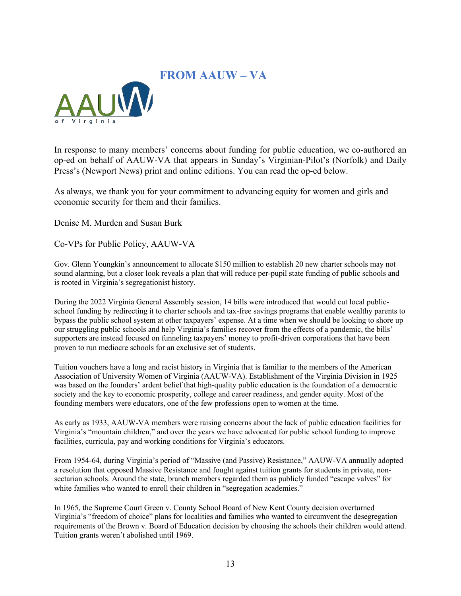## **FROM AAUW – VA**



In response to many members' concerns about funding for public education, we co-authored an op-ed on behalf of AAUW-VA that appears in Sunday's Virginian-Pilot's (Norfolk) and Daily Press's (Newport News) print and online editions. You can read the op-ed below.

As always, we thank you for your commitment to advancing equity for women and girls and economic security for them and their families.

Denise M. Murden and Susan Burk

Co-VPs for Public Policy, AAUW-VA

Gov. Glenn Youngkin's announcement to allocate \$150 million to establish 20 new charter schools may not sound alarming, but a closer look reveals a plan that will reduce per-pupil state funding of public schools and is rooted in Virginia's segregationist history.

During the 2022 Virginia General Assembly session, 14 bills were introduced that would cut local publicschool funding by redirecting it to charter schools and tax-free savings programs that enable wealthy parents to bypass the public school system at other taxpayers' expense. At a time when we should be looking to shore up our struggling public schools and help Virginia's families recover from the effects of a pandemic, the bills' supporters are instead focused on funneling taxpayers' money to profit-driven corporations that have been proven to run mediocre schools for an exclusive set of students.

Tuition vouchers have a long and racist history in Virginia that is familiar to the members of the American Association of University Women of Virginia (AAUW-VA). Establishment of the Virginia Division in 1925 was based on the founders' ardent belief that high-quality public education is the foundation of a democratic society and the key to economic prosperity, college and career readiness, and gender equity. Most of the founding members were educators, one of the few professions open to women at the time.

As early as 1933, AAUW-VA members were raising concerns about the lack of public education facilities for Virginia's "mountain children," and over the years we have advocated for public school funding to improve facilities, curricula, pay and working conditions for Virginia's educators.

From 1954-64, during Virginia's period of "Massive (and Passive) Resistance," AAUW-VA annually adopted a resolution that opposed Massive Resistance and fought against tuition grants for students in private, nonsectarian schools. Around the state, branch members regarded them as publicly funded "escape valves" for white families who wanted to enroll their children in "segregation academies."

In 1965, the Supreme Court Green v. County School Board of New Kent County decision overturned Virginia's "freedom of choice" plans for localities and families who wanted to circumvent the desegregation requirements of the Brown v. Board of Education decision by choosing the schools their children would attend. Tuition grants weren't abolished until 1969.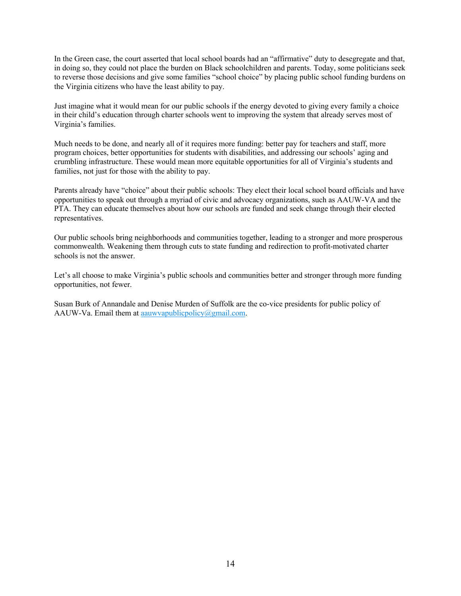In the Green case, the court asserted that local school boards had an "affirmative" duty to desegregate and that, in doing so, they could not place the burden on Black schoolchildren and parents. Today, some politicians seek to reverse those decisions and give some families "school choice" by placing public school funding burdens on the Virginia citizens who have the least ability to pay.

Just imagine what it would mean for our public schools if the energy devoted to giving every family a choice in their child's education through charter schools went to improving the system that already serves most of Virginia's families.

Much needs to be done, and nearly all of it requires more funding: better pay for teachers and staff, more program choices, better opportunities for students with disabilities, and addressing our schools' aging and crumbling infrastructure. These would mean more equitable opportunities for all of Virginia's students and families, not just for those with the ability to pay.

Parents already have "choice" about their public schools: They elect their local school board officials and have opportunities to speak out through a myriad of civic and advocacy organizations, such as AAUW-VA and the PTA. They can educate themselves about how our schools are funded and seek change through their elected representatives.

Our public schools bring neighborhoods and communities together, leading to a stronger and more prosperous commonwealth. Weakening them through cuts to state funding and redirection to profit-motivated charter schools is not the answer.

Let's all choose to make Virginia's public schools and communities better and stronger through more funding opportunities, not fewer.

Susan Burk of Annandale and Denise Murden of Suffolk are the co-vice presidents for public policy of AAUW-Va. Email them at a a universal interval  $\alpha$  gmail.com.